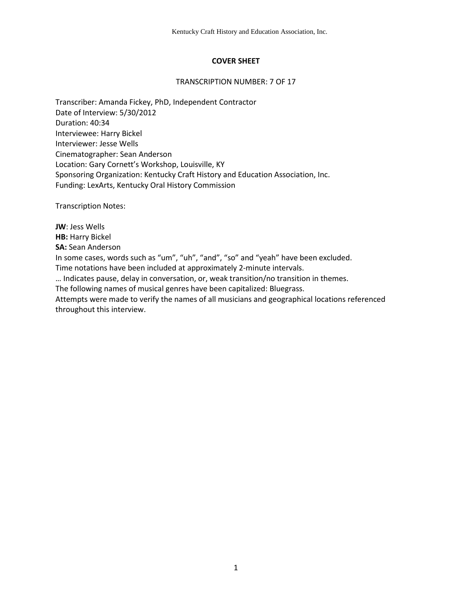## **COVER SHEET**

#### TRANSCRIPTION NUMBER: 7 OF 17

Transcriber: Amanda Fickey, PhD, Independent Contractor Date of Interview: 5/30/2012 Duration: 40:34 Interviewee: Harry Bickel Interviewer: Jesse Wells Cinematographer: Sean Anderson Location: Gary Cornett's Workshop, Louisville, KY Sponsoring Organization: Kentucky Craft History and Education Association, Inc. Funding: LexArts, Kentucky Oral History Commission

Transcription Notes:

**JW**: Jess Wells **HB: Harry Bickel SA:** Sean Anderson In some cases, words such as "um", "uh", "and", "so" and "yeah" have been excluded. Time notations have been included at approximately 2-minute intervals. … Indicates pause, delay in conversation, or, weak transition/no transition in themes. The following names of musical genres have been capitalized: Bluegrass. Attempts were made to verify the names of all musicians and geographical locations referenced throughout this interview.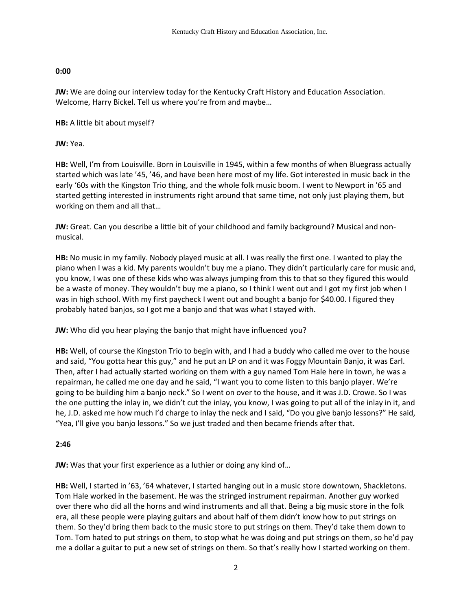## **0:00**

**JW:** We are doing our interview today for the Kentucky Craft History and Education Association. Welcome, Harry Bickel. Tell us where you're from and maybe…

**HB:** A little bit about myself?

**JW:** Yea.

**HB:** Well, I'm from Louisville. Born in Louisville in 1945, within a few months of when Bluegrass actually started which was late '45, '46, and have been here most of my life. Got interested in music back in the early '60s with the Kingston Trio thing, and the whole folk music boom. I went to Newport in '65 and started getting interested in instruments right around that same time, not only just playing them, but working on them and all that…

**JW:** Great. Can you describe a little bit of your childhood and family background? Musical and nonmusical.

**HB:** No music in my family. Nobody played music at all. I was really the first one. I wanted to play the piano when I was a kid. My parents wouldn't buy me a piano. They didn't particularly care for music and, you know, I was one of these kids who was always jumping from this to that so they figured this would be a waste of money. They wouldn't buy me a piano, so I think I went out and I got my first job when I was in high school. With my first paycheck I went out and bought a banjo for \$40.00. I figured they probably hated banjos, so I got me a banjo and that was what I stayed with.

**JW:** Who did you hear playing the banjo that might have influenced you?

**HB:** Well, of course the Kingston Trio to begin with, and I had a buddy who called me over to the house and said, "You gotta hear this guy," and he put an LP on and it was Foggy Mountain Banjo, it was Earl. Then, after I had actually started working on them with a guy named Tom Hale here in town, he was a repairman, he called me one day and he said, "I want you to come listen to this banjo player. We're going to be building him a banjo neck." So I went on over to the house, and it was J.D. Crowe. So I was the one putting the inlay in, we didn't cut the inlay, you know, I was going to put all of the inlay in it, and he, J.D. asked me how much I'd charge to inlay the neck and I said, "Do you give banjo lessons?" He said, "Yea, I'll give you banjo lessons." So we just traded and then became friends after that.

## **2:46**

**JW:** Was that your first experience as a luthier or doing any kind of…

**HB:** Well, I started in '63, '64 whatever, I started hanging out in a music store downtown, Shackletons. Tom Hale worked in the basement. He was the stringed instrument repairman. Another guy worked over there who did all the horns and wind instruments and all that. Being a big music store in the folk era, all these people were playing guitars and about half of them didn't know how to put strings on them. So they'd bring them back to the music store to put strings on them. They'd take them down to Tom. Tom hated to put strings on them, to stop what he was doing and put strings on them, so he'd pay me a dollar a guitar to put a new set of strings on them. So that's really how I started working on them.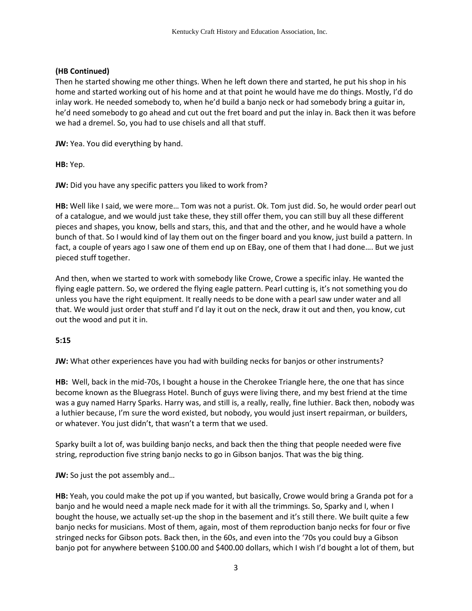## **(HB Continued)**

Then he started showing me other things. When he left down there and started, he put his shop in his home and started working out of his home and at that point he would have me do things. Mostly, I'd do inlay work. He needed somebody to, when he'd build a banjo neck or had somebody bring a guitar in, he'd need somebody to go ahead and cut out the fret board and put the inlay in. Back then it was before we had a dremel. So, you had to use chisels and all that stuff.

**JW:** Yea. You did everything by hand.

**HB:** Yep.

**JW:** Did you have any specific patters you liked to work from?

**HB:** Well like I said, we were more… Tom was not a purist. Ok. Tom just did. So, he would order pearl out of a catalogue, and we would just take these, they still offer them, you can still buy all these different pieces and shapes, you know, bells and stars, this, and that and the other, and he would have a whole bunch of that. So I would kind of lay them out on the finger board and you know, just build a pattern. In fact, a couple of years ago I saw one of them end up on EBay, one of them that I had done…. But we just pieced stuff together.

And then, when we started to work with somebody like Crowe, Crowe a specific inlay. He wanted the flying eagle pattern. So, we ordered the flying eagle pattern. Pearl cutting is, it's not something you do unless you have the right equipment. It really needs to be done with a pearl saw under water and all that. We would just order that stuff and I'd lay it out on the neck, draw it out and then, you know, cut out the wood and put it in.

## **5:15**

**JW:** What other experiences have you had with building necks for banjos or other instruments?

**HB:** Well, back in the mid-70s, I bought a house in the Cherokee Triangle here, the one that has since become known as the Bluegrass Hotel. Bunch of guys were living there, and my best friend at the time was a guy named Harry Sparks. Harry was, and still is, a really, really, fine luthier. Back then, nobody was a luthier because, I'm sure the word existed, but nobody, you would just insert repairman, or builders, or whatever. You just didn't, that wasn't a term that we used.

Sparky built a lot of, was building banjo necks, and back then the thing that people needed were five string, reproduction five string banjo necks to go in Gibson banjos. That was the big thing.

**JW:** So just the pot assembly and...

**HB:** Yeah, you could make the pot up if you wanted, but basically, Crowe would bring a Granda pot for a banjo and he would need a maple neck made for it with all the trimmings. So, Sparky and I, when I bought the house, we actually set-up the shop in the basement and it's still there. We built quite a few banjo necks for musicians. Most of them, again, most of them reproduction banjo necks for four or five stringed necks for Gibson pots. Back then, in the 60s, and even into the '70s you could buy a Gibson banjo pot for anywhere between \$100.00 and \$400.00 dollars, which I wish I'd bought a lot of them, but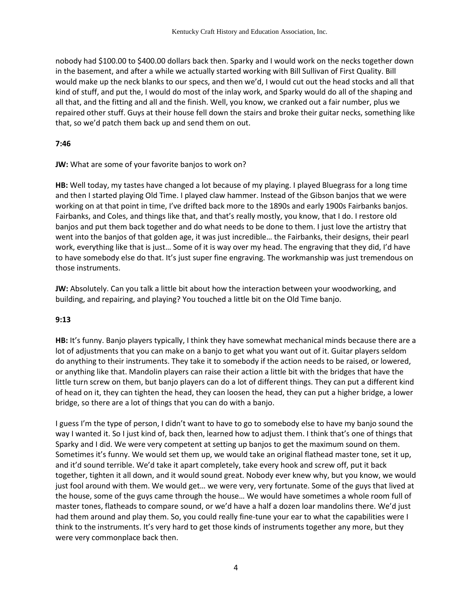nobody had \$100.00 to \$400.00 dollars back then. Sparky and I would work on the necks together down in the basement, and after a while we actually started working with Bill Sullivan of First Quality. Bill would make up the neck blanks to our specs, and then we'd, I would cut out the head stocks and all that kind of stuff, and put the, I would do most of the inlay work, and Sparky would do all of the shaping and all that, and the fitting and all and the finish. Well, you know, we cranked out a fair number, plus we repaired other stuff. Guys at their house fell down the stairs and broke their guitar necks, something like that, so we'd patch them back up and send them on out.

#### **7:46**

**JW:** What are some of your favorite banjos to work on?

**HB:** Well today, my tastes have changed a lot because of my playing. I played Bluegrass for a long time and then I started playing Old Time. I played claw hammer. Instead of the Gibson banjos that we were working on at that point in time, I've drifted back more to the 1890s and early 1900s Fairbanks banjos. Fairbanks, and Coles, and things like that, and that's really mostly, you know, that I do. I restore old banjos and put them back together and do what needs to be done to them. I just love the artistry that went into the banjos of that golden age, it was just incredible… the Fairbanks, their designs, their pearl work, everything like that is just… Some of it is way over my head. The engraving that they did, I'd have to have somebody else do that. It's just super fine engraving. The workmanship was just tremendous on those instruments.

**JW:** Absolutely. Can you talk a little bit about how the interaction between your woodworking, and building, and repairing, and playing? You touched a little bit on the Old Time banjo.

# **9:13**

**HB:** It's funny. Banjo players typically, I think they have somewhat mechanical minds because there are a lot of adjustments that you can make on a banjo to get what you want out of it. Guitar players seldom do anything to their instruments. They take it to somebody if the action needs to be raised, or lowered, or anything like that. Mandolin players can raise their action a little bit with the bridges that have the little turn screw on them, but banjo players can do a lot of different things. They can put a different kind of head on it, they can tighten the head, they can loosen the head, they can put a higher bridge, a lower bridge, so there are a lot of things that you can do with a banjo.

I guess I'm the type of person, I didn't want to have to go to somebody else to have my banjo sound the way I wanted it. So I just kind of, back then, learned how to adjust them. I think that's one of things that Sparky and I did. We were very competent at setting up banjos to get the maximum sound on them. Sometimes it's funny. We would set them up, we would take an original flathead master tone, set it up, and it'd sound terrible. We'd take it apart completely, take every hook and screw off, put it back together, tighten it all down, and it would sound great. Nobody ever knew why, but you know, we would just fool around with them. We would get… we were very, very fortunate. Some of the guys that lived at the house, some of the guys came through the house… We would have sometimes a whole room full of master tones, flatheads to compare sound, or we'd have a half a dozen loar mandolins there. We'd just had them around and play them. So, you could really fine-tune your ear to what the capabilities were I think to the instruments. It's very hard to get those kinds of instruments together any more, but they were very commonplace back then.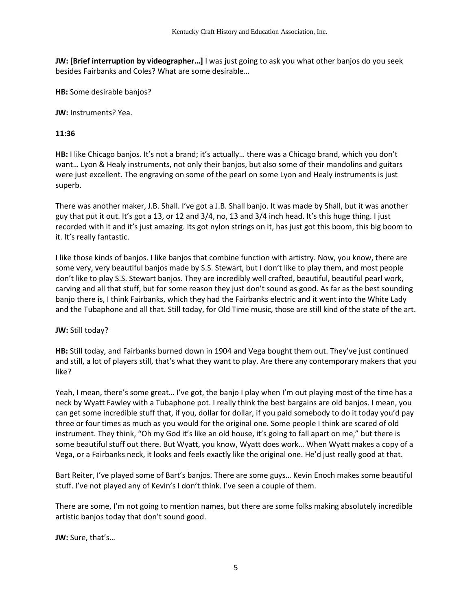**JW: [Brief interruption by videographer…]** I was just going to ask you what other banjos do you seek besides Fairbanks and Coles? What are some desirable…

**HB:** Some desirable banjos?

**JW:** Instruments? Yea.

## **11:36**

**HB:** I like Chicago banjos. It's not a brand; it's actually… there was a Chicago brand, which you don't want… Lyon & Healy instruments, not only their banjos, but also some of their mandolins and guitars were just excellent. The engraving on some of the pearl on some Lyon and Healy instruments is just superb.

There was another maker, J.B. Shall. I've got a J.B. Shall banjo. It was made by Shall, but it was another guy that put it out. It's got a 13, or 12 and 3/4, no, 13 and 3/4 inch head. It's this huge thing. I just recorded with it and it's just amazing. Its got nylon strings on it, has just got this boom, this big boom to it. It's really fantastic.

I like those kinds of banjos. I like banjos that combine function with artistry. Now, you know, there are some very, very beautiful banjos made by S.S. Stewart, but I don't like to play them, and most people don't like to play S.S. Stewart banjos. They are incredibly well crafted, beautiful, beautiful pearl work, carving and all that stuff, but for some reason they just don't sound as good. As far as the best sounding banjo there is, I think Fairbanks, which they had the Fairbanks electric and it went into the White Lady and the Tubaphone and all that. Still today, for Old Time music, those are still kind of the state of the art.

## **JW:** Still today?

**HB:** Still today, and Fairbanks burned down in 1904 and Vega bought them out. They've just continued and still, a lot of players still, that's what they want to play. Are there any contemporary makers that you like?

Yeah, I mean, there's some great… I've got, the banjo I play when I'm out playing most of the time has a neck by Wyatt Fawley with a Tubaphone pot. I really think the best bargains are old banjos. I mean, you can get some incredible stuff that, if you, dollar for dollar, if you paid somebody to do it today you'd pay three or four times as much as you would for the original one. Some people I think are scared of old instrument. They think, "Oh my God it's like an old house, it's going to fall apart on me," but there is some beautiful stuff out there. But Wyatt, you know, Wyatt does work… When Wyatt makes a copy of a Vega, or a Fairbanks neck, it looks and feels exactly like the original one. He'd just really good at that.

Bart Reiter, I've played some of Bart's banjos. There are some guys… Kevin Enoch makes some beautiful stuff. I've not played any of Kevin's I don't think. I've seen a couple of them.

There are some, I'm not going to mention names, but there are some folks making absolutely incredible artistic banjos today that don't sound good.

**JW:** Sure, that's…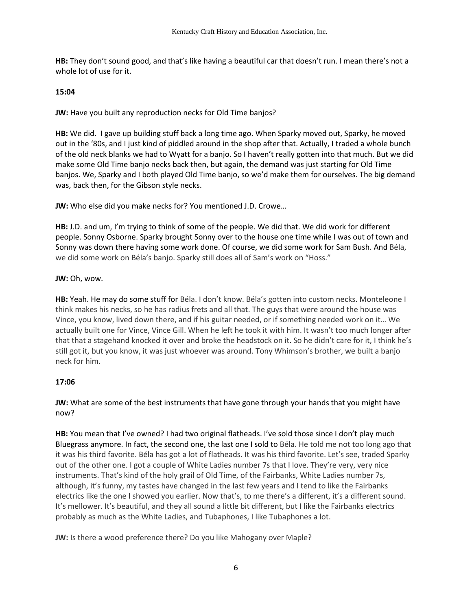**HB:** They don't sound good, and that's like having a beautiful car that doesn't run. I mean there's not a whole lot of use for it.

#### **15:04**

**JW:** Have you built any reproduction necks for Old Time banjos?

**HB:** We did. I gave up building stuff back a long time ago. When Sparky moved out, Sparky, he moved out in the '80s, and I just kind of piddled around in the shop after that. Actually, I traded a whole bunch of the old neck blanks we had to Wyatt for a banjo. So I haven't really gotten into that much. But we did make some Old Time banjo necks back then, but again, the demand was just starting for Old Time banjos. We, Sparky and I both played Old Time banjo, so we'd make them for ourselves. The big demand was, back then, for the Gibson style necks.

**JW:** Who else did you make necks for? You mentioned J.D. Crowe…

**HB:** J.D. and um, I'm trying to think of some of the people. We did that. We did work for different people. Sonny Osborne. Sparky brought Sonny over to the house one time while I was out of town and Sonny was down there having some work done. Of course, we did some work for Sam Bush. And Béla, we did some work on Béla's banjo. Sparky still does all of Sam's work on "Hoss."

#### **JW:** Oh, wow.

**HB:** Yeah. He may do some stuff for Béla. I don't know. Béla's gotten into custom necks. Monteleone I think makes his necks, so he has radius frets and all that. The guys that were around the house was Vince, you know, lived down there, and if his guitar needed, or if something needed work on it… We actually built one for Vince, Vince Gill. When he left he took it with him. It wasn't too much longer after that that a stagehand knocked it over and broke the headstock on it. So he didn't care for it, I think he's still got it, but you know, it was just whoever was around. Tony Whimson's brother, we built a banjo neck for him.

## **17:06**

**JW:** What are some of the best instruments that have gone through your hands that you might have now?

**HB:** You mean that I've owned? I had two original flatheads. I've sold those since I don't play much Bluegrass anymore. In fact, the second one, the last one I sold to Béla. He told me not too long ago that it was his third favorite. Béla has got a lot of flatheads. It was his third favorite. Let's see, traded Sparky out of the other one. I got a couple of White Ladies number 7s that I love. They're very, very nice instruments. That's kind of the holy grail of Old Time, of the Fairbanks, White Ladies number 7s, although, it's funny, my tastes have changed in the last few years and I tend to like the Fairbanks electrics like the one I showed you earlier. Now that's, to me there's a different, it's a different sound. It's mellower. It's beautiful, and they all sound a little bit different, but I like the Fairbanks electrics probably as much as the White Ladies, and Tubaphones, I like Tubaphones a lot.

**JW:** Is there a wood preference there? Do you like Mahogany over Maple?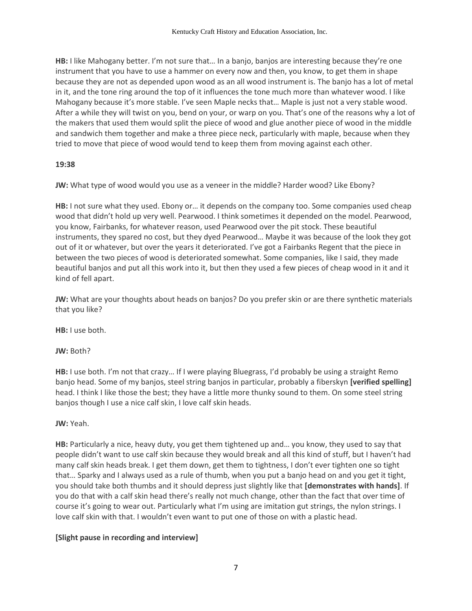**HB:** I like Mahogany better. I'm not sure that… In a banjo, banjos are interesting because they're one instrument that you have to use a hammer on every now and then, you know, to get them in shape because they are not as depended upon wood as an all wood instrument is. The banjo has a lot of metal in it, and the tone ring around the top of it influences the tone much more than whatever wood. I like Mahogany because it's more stable. I've seen Maple necks that… Maple is just not a very stable wood. After a while they will twist on you, bend on your, or warp on you. That's one of the reasons why a lot of the makers that used them would split the piece of wood and glue another piece of wood in the middle and sandwich them together and make a three piece neck, particularly with maple, because when they tried to move that piece of wood would tend to keep them from moving against each other.

#### **19:38**

**JW:** What type of wood would you use as a veneer in the middle? Harder wood? Like Ebony?

**HB:** I not sure what they used. Ebony or… it depends on the company too. Some companies used cheap wood that didn't hold up very well. Pearwood. I think sometimes it depended on the model. Pearwood, you know, Fairbanks, for whatever reason, used Pearwood over the pit stock. These beautiful instruments, they spared no cost, but they dyed Pearwood… Maybe it was because of the look they got out of it or whatever, but over the years it deteriorated. I've got a Fairbanks Regent that the piece in between the two pieces of wood is deteriorated somewhat. Some companies, like I said, they made beautiful banjos and put all this work into it, but then they used a few pieces of cheap wood in it and it kind of fell apart.

**JW:** What are your thoughts about heads on banjos? Do you prefer skin or are there synthetic materials that you like?

**HB:** I use both.

**JW:** Both?

**HB:** I use both. I'm not that crazy… If I were playing Bluegrass, I'd probably be using a straight Remo banjo head. Some of my banjos, steel string banjos in particular, probably a fiberskyn **[verified spelling]** head. I think I like those the best; they have a little more thunky sound to them. On some steel string banjos though I use a nice calf skin, I love calf skin heads.

## **JW:** Yeah.

**HB:** Particularly a nice, heavy duty, you get them tightened up and… you know, they used to say that people didn't want to use calf skin because they would break and all this kind of stuff, but I haven't had many calf skin heads break. I get them down, get them to tightness, I don't ever tighten one so tight that… Sparky and I always used as a rule of thumb, when you put a banjo head on and you get it tight, you should take both thumbs and it should depress just slightly like that **[demonstrates with hands]**. If you do that with a calf skin head there's really not much change, other than the fact that over time of course it's going to wear out. Particularly what I'm using are imitation gut strings, the nylon strings. I love calf skin with that. I wouldn't even want to put one of those on with a plastic head.

## **[Slight pause in recording and interview]**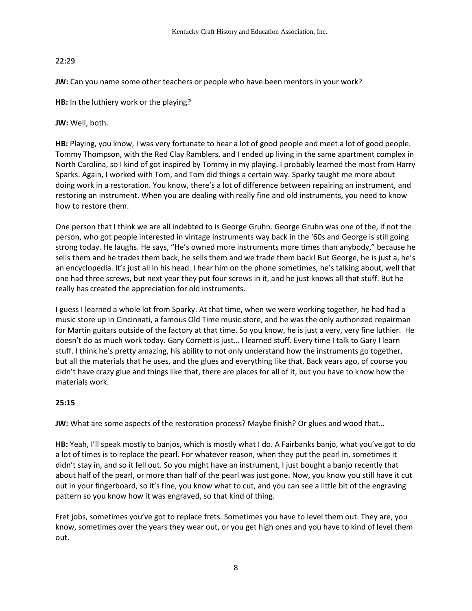## **22:29**

**JW:** Can you name some other teachers or people who have been mentors in your work?

**HB:** In the luthiery work or the playing?

**JW:** Well, both.

**HB:** Playing, you know, I was very fortunate to hear a lot of good people and meet a lot of good people. Tommy Thompson, with the Red Clay Ramblers, and I ended up living in the same apartment complex in North Carolina, so I kind of got inspired by Tommy in my playing. I probably learned the most from Harry Sparks. Again, I worked with Tom, and Tom did things a certain way. Sparky taught me more about doing work in a restoration. You know, there's a lot of difference between repairing an instrument, and restoring an instrument. When you are dealing with really fine and old instruments, you need to know how to restore them.

One person that I think we are all indebted to is George Gruhn. George Gruhn was one of the, if not the person, who got people interested in vintage instruments way back in the '60s and George is still going strong today. He laughs. He says, "He's owned more instruments more times than anybody," because he sells them and he trades them back, he sells them and we trade them back! But George, he is just a, he's an encyclopedia. It's just all in his head. I hear him on the phone sometimes, he's talking about, well that one had three screws, but next year they put four screws in it, and he just knows all that stuff. But he really has created the appreciation for old instruments.

I guess I learned a whole lot from Sparky. At that time, when we were working together, he had had a music store up in Cincinnati, a famous Old Time music store, and he was the only authorized repairman for Martin guitars outside of the factory at that time. So you know, he is just a very, very fine luthier. He doesn't do as much work today. Gary Cornett is just… I learned stuff. Every time I talk to Gary I learn stuff. I think he's pretty amazing, his ability to not only understand how the instruments go together, but all the materials that he uses, and the glues and everything like that. Back years ago, of course you didn't have crazy glue and things like that, there are places for all of it, but you have to know how the materials work.

# **25:15**

**JW:** What are some aspects of the restoration process? Maybe finish? Or glues and wood that…

**HB:** Yeah, I'll speak mostly to banjos, which is mostly what I do. A Fairbanks banjo, what you've got to do a lot of times is to replace the pearl. For whatever reason, when they put the pearl in, sometimes it didn't stay in, and so it fell out. So you might have an instrument, I just bought a banjo recently that about half of the pearl, or more than half of the pearl was just gone. Now, you know you still have it cut out in your fingerboard, so it's fine, you know what to cut, and you can see a little bit of the engraving pattern so you know how it was engraved, so that kind of thing.

Fret jobs, sometimes you've got to replace frets. Sometimes you have to level them out. They are, you know, sometimes over the years they wear out, or you get high ones and you have to kind of level them out.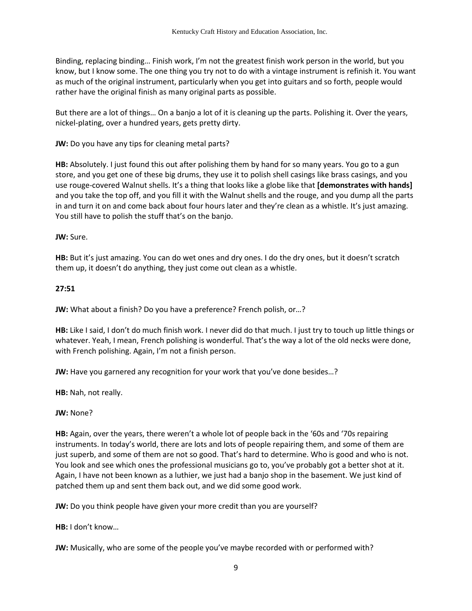Binding, replacing binding… Finish work, I'm not the greatest finish work person in the world, but you know, but I know some. The one thing you try not to do with a vintage instrument is refinish it. You want as much of the original instrument, particularly when you get into guitars and so forth, people would rather have the original finish as many original parts as possible.

But there are a lot of things… On a banjo a lot of it is cleaning up the parts. Polishing it. Over the years, nickel-plating, over a hundred years, gets pretty dirty.

**JW:** Do you have any tips for cleaning metal parts?

**HB:** Absolutely. I just found this out after polishing them by hand for so many years. You go to a gun store, and you get one of these big drums, they use it to polish shell casings like brass casings, and you use rouge-covered Walnut shells. It's a thing that looks like a globe like that **[demonstrates with hands]** and you take the top off, and you fill it with the Walnut shells and the rouge, and you dump all the parts in and turn it on and come back about four hours later and they're clean as a whistle. It's just amazing. You still have to polish the stuff that's on the banjo.

**JW:** Sure.

**HB:** But it's just amazing. You can do wet ones and dry ones. I do the dry ones, but it doesn't scratch them up, it doesn't do anything, they just come out clean as a whistle.

**27:51**

**JW:** What about a finish? Do you have a preference? French polish, or…?

**HB:** Like I said, I don't do much finish work. I never did do that much. I just try to touch up little things or whatever. Yeah, I mean, French polishing is wonderful. That's the way a lot of the old necks were done, with French polishing. Again, I'm not a finish person.

**JW:** Have you garnered any recognition for your work that you've done besides…?

**HB:** Nah, not really.

**JW:** None?

**HB:** Again, over the years, there weren't a whole lot of people back in the '60s and '70s repairing instruments. In today's world, there are lots and lots of people repairing them, and some of them are just superb, and some of them are not so good. That's hard to determine. Who is good and who is not. You look and see which ones the professional musicians go to, you've probably got a better shot at it. Again, I have not been known as a luthier, we just had a banjo shop in the basement. We just kind of patched them up and sent them back out, and we did some good work.

**JW:** Do you think people have given your more credit than you are yourself?

**HB:** I don't know…

**JW:** Musically, who are some of the people you've maybe recorded with or performed with?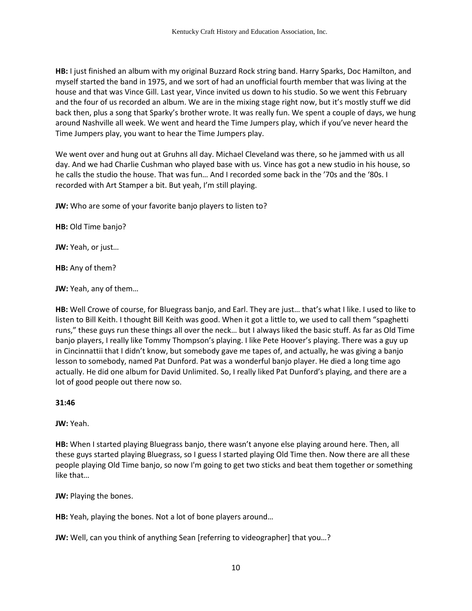**HB:** I just finished an album with my original Buzzard Rock string band. Harry Sparks, Doc Hamilton, and myself started the band in 1975, and we sort of had an unofficial fourth member that was living at the house and that was Vince Gill. Last year, Vince invited us down to his studio. So we went this February and the four of us recorded an album. We are in the mixing stage right now, but it's mostly stuff we did back then, plus a song that Sparky's brother wrote. It was really fun. We spent a couple of days, we hung around Nashville all week. We went and heard the Time Jumpers play, which if you've never heard the Time Jumpers play, you want to hear the Time Jumpers play.

We went over and hung out at Gruhns all day. Michael Cleveland was there, so he jammed with us all day. And we had Charlie Cushman who played base with us. Vince has got a new studio in his house, so he calls the studio the house. That was fun… And I recorded some back in the '70s and the '80s. I recorded with Art Stamper a bit. But yeah, I'm still playing.

**JW:** Who are some of your favorite banjo players to listen to?

**HB:** Old Time banjo?

**JW:** Yeah, or just…

**HB:** Any of them?

**JW:** Yeah, any of them…

**HB:** Well Crowe of course, for Bluegrass banjo, and Earl. They are just… that's what I like. I used to like to listen to Bill Keith. I thought Bill Keith was good. When it got a little to, we used to call them "spaghetti runs," these guys run these things all over the neck… but I always liked the basic stuff. As far as Old Time banjo players, I really like Tommy Thompson's playing. I like Pete Hoover's playing. There was a guy up in Cincinnattii that I didn't know, but somebody gave me tapes of, and actually, he was giving a banjo lesson to somebody, named Pat Dunford. Pat was a wonderful banjo player. He died a long time ago actually. He did one album for David Unlimited. So, I really liked Pat Dunford's playing, and there are a lot of good people out there now so.

## **31:46**

**JW:** Yeah.

**HB:** When I started playing Bluegrass banjo, there wasn't anyone else playing around here. Then, all these guys started playing Bluegrass, so I guess I started playing Old Time then. Now there are all these people playing Old Time banjo, so now I'm going to get two sticks and beat them together or something like that…

**JW:** Playing the bones.

**HB:** Yeah, playing the bones. Not a lot of bone players around…

**JW:** Well, can you think of anything Sean [referring to videographer] that you…?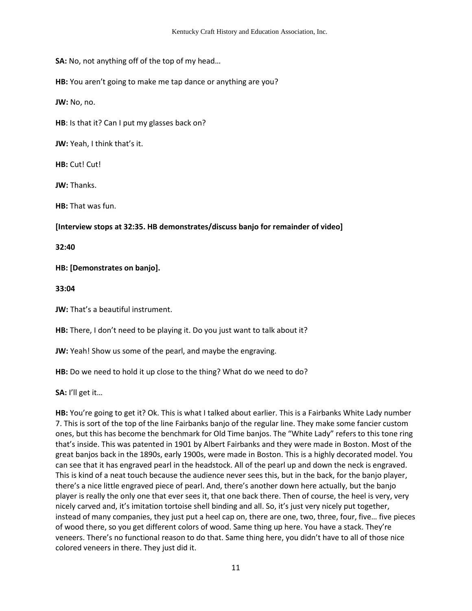**SA:** No, not anything off of the top of my head…

**HB:** You aren't going to make me tap dance or anything are you?

**JW:** No, no.

**HB**: Is that it? Can I put my glasses back on?

**JW:** Yeah, I think that's it.

**HB:** Cut! Cut!

**JW:** Thanks.

**HB:** That was fun.

**[Interview stops at 32:35. HB demonstrates/discuss banjo for remainder of video]**

**32:40** 

## **HB: [Demonstrates on banjo].**

**33:04** 

**JW:** That's a beautiful instrument.

**HB:** There, I don't need to be playing it. Do you just want to talk about it?

**JW:** Yeah! Show us some of the pearl, and maybe the engraving.

**HB:** Do we need to hold it up close to the thing? What do we need to do?

**SA:** I'll get it…

**HB:** You're going to get it? Ok. This is what I talked about earlier. This is a Fairbanks White Lady number 7. This is sort of the top of the line Fairbanks banjo of the regular line. They make some fancier custom ones, but this has become the benchmark for Old Time banjos. The "White Lady" refers to this tone ring that's inside. This was patented in 1901 by Albert Fairbanks and they were made in Boston. Most of the great banjos back in the 1890s, early 1900s, were made in Boston. This is a highly decorated model. You can see that it has engraved pearl in the headstock. All of the pearl up and down the neck is engraved. This is kind of a neat touch because the audience never sees this, but in the back, for the banjo player, there's a nice little engraved piece of pearl. And, there's another down here actually, but the banjo player is really the only one that ever sees it, that one back there. Then of course, the heel is very, very nicely carved and, it's imitation tortoise shell binding and all. So, it's just very nicely put together, instead of many companies, they just put a heel cap on, there are one, two, three, four, five… five pieces of wood there, so you get different colors of wood. Same thing up here. You have a stack. They're veneers. There's no functional reason to do that. Same thing here, you didn't have to all of those nice colored veneers in there. They just did it.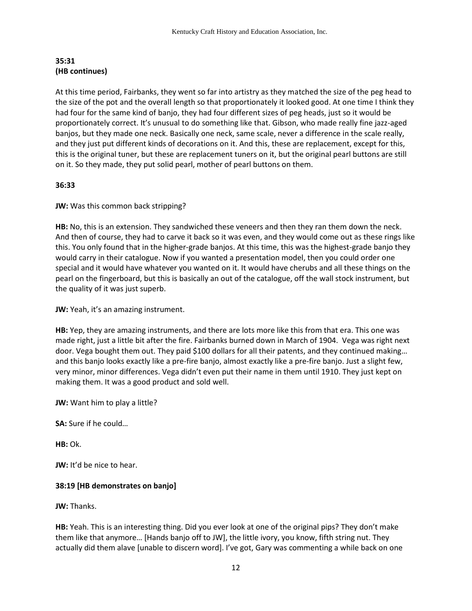## **35:31 (HB continues)**

At this time period, Fairbanks, they went so far into artistry as they matched the size of the peg head to the size of the pot and the overall length so that proportionately it looked good. At one time I think they had four for the same kind of banjo, they had four different sizes of peg heads, just so it would be proportionately correct. It's unusual to do something like that. Gibson, who made really fine jazz-aged banjos, but they made one neck. Basically one neck, same scale, never a difference in the scale really, and they just put different kinds of decorations on it. And this, these are replacement, except for this, this is the original tuner, but these are replacement tuners on it, but the original pearl buttons are still on it. So they made, they put solid pearl, mother of pearl buttons on them.

# **36:33**

**JW:** Was this common back stripping?

**HB:** No, this is an extension. They sandwiched these veneers and then they ran them down the neck. And then of course, they had to carve it back so it was even, and they would come out as these rings like this. You only found that in the higher-grade banjos. At this time, this was the highest-grade banjo they would carry in their catalogue. Now if you wanted a presentation model, then you could order one special and it would have whatever you wanted on it. It would have cherubs and all these things on the pearl on the fingerboard, but this is basically an out of the catalogue, off the wall stock instrument, but the quality of it was just superb.

**JW:** Yeah, it's an amazing instrument.

**HB:** Yep, they are amazing instruments, and there are lots more like this from that era. This one was made right, just a little bit after the fire. Fairbanks burned down in March of 1904. Vega was right next door. Vega bought them out. They paid \$100 dollars for all their patents, and they continued making… and this banjo looks exactly like a pre-fire banjo, almost exactly like a pre-fire banjo. Just a slight few, very minor, minor differences. Vega didn't even put their name in them until 1910. They just kept on making them. It was a good product and sold well.

**JW:** Want him to play a little?

**SA:** Sure if he could…

**HB:** Ok.

**JW:** It'd be nice to hear.

# **38:19 [HB demonstrates on banjo]**

**JW:** Thanks.

**HB:** Yeah. This is an interesting thing. Did you ever look at one of the original pips? They don't make them like that anymore… [Hands banjo off to JW], the little ivory, you know, fifth string nut. They actually did them alave [unable to discern word]. I've got, Gary was commenting a while back on one